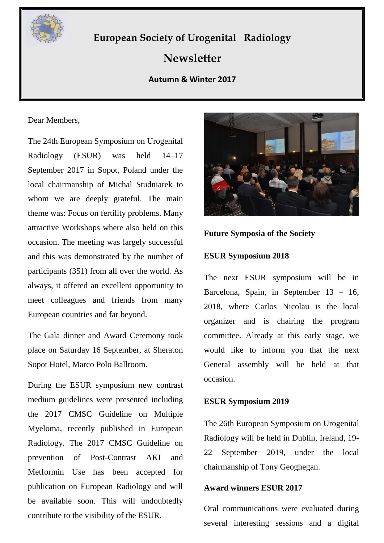

# **European Society of Urogenital Radiology**

## **Newsletter**

## **Autumn & Winter 2017**

Dear Members,

The 24th European Symposium on Urogenital Radiology (ESUR) was held 14–17 September 2017 in Sopot, Poland under the local chairmanship of Michal Studniarek to whom we are deeply grateful. The main theme was: Focus on fertility problems. Many attractive Workshops where also held on this occasion. The meeting was largely successful and this was demonstrated by the number of participants (351) from all over the world. As always, it offered an excellent opportunity to meet colleagues and friends from many European countries and far beyond.

The Gala dinner and Award Ceremony took place on Saturday 16 September, at Sheraton Sopot Hotel, Marco Polo Ballroom.

During the ESUR symposium new contrast medium guidelines were presented including the 2017 CMSC Guideline on Multiple Myeloma, recently published in European Radiology. The 2017 CMSC Guideline on prevention of Post-Contrast AKI and Metformin Use has been accepted for publication on European Radiology and will be available soon. This will undoubtedly contribute to the visibility of the ESUR.



## **Future Symposia of the Society**

## **ESUR Symposium 2018**

The next ESUR symposium will be in Barcelona, Spain, in September 13 – 16, 2018, where Carlos Nicolau is the local organizer and is chairing the program committee. Already at this early stage, we would like to inform you that the next General assembly will be held at that occasion.

#### **ESUR Symposium 2019**

The 26th European Symposium on Urogenital Radiology will be held in Dublin, Ireland, 19- 22 September 2019, under the local chairmanship of Tony Geoghegan.

#### **Award winners ESUR 2017**

Oral communications were evaluated during several interesting sessions and a digital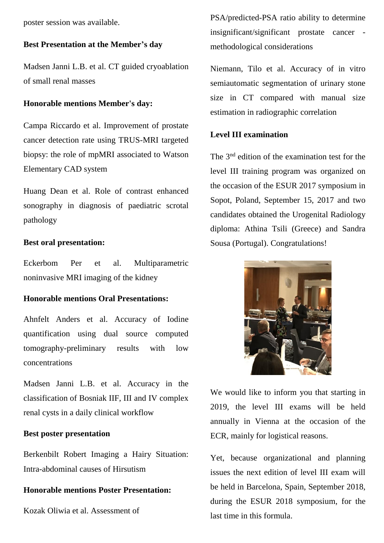poster session was available.

#### **Best Presentation at the Member's day**

Madsen Janni L.B. et al. CT guided cryoablation of small renal masses

#### **Honorable mentions Member's day:**

Campa Riccardo et al. Improvement of prostate cancer detection rate using TRUS-MRI targeted biopsy: the role of mpMRI associated to Watson Elementary CAD system

Huang Dean et al. Role of contrast enhanced sonography in diagnosis of paediatric scrotal pathology

#### **Best oral presentation:**

Eckerbom Per et al. Multiparametric noninvasive MRI imaging of the kidney

#### **Honorable mentions Oral Presentations:**

Ahnfelt Anders et al. Accuracy of Iodine quantification using dual source computed tomography-preliminary results with low concentrations

Madsen Janni L.B. et al. Accuracy in the classification of Bosniak IIF, III and IV complex renal cysts in a daily clinical workflow

#### **Best poster presentation**

Berkenbilt Robert Imaging a Hairy Situation: Intra-abdominal causes of Hirsutism

#### **Honorable mentions Poster Presentation:**

Kozak Oliwia et al. Assessment of

PSA/predicted-PSA ratio ability to determine insignificant/significant prostate cancer methodological considerations

Niemann, Tilo et al. Accuracy of in vitro semiautomatic segmentation of urinary stone size in CT compared with manual size estimation in radiographic correlation

## **Level III examination**

The 3<sup>nd</sup> edition of the examination test for the level III training program was organized on the occasion of the ESUR 2017 symposium in Sopot, Poland, September 15, 2017 and two candidates obtained the Urogenital Radiology diploma: Athina Tsili (Greece) and Sandra Sousa (Portugal). Congratulations!



We would like to inform you that starting in 2019, the level III exams will be held annually in Vienna at the occasion of the ECR, mainly for logistical reasons.

Yet, because organizational and planning issues the next edition of level III exam will be held in Barcelona, Spain, September 2018, during the ESUR 2018 symposium, for the last time in this formula.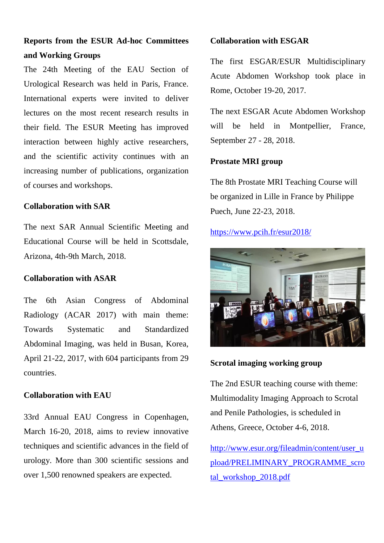## **Reports from the ESUR Ad-hoc Committees and Working Groups**

The 24th Meeting of the EAU Section of Urological Research was held in Paris, France. International experts were invited to deliver lectures on the most recent research results in their field. The ESUR Meeting has improved interaction between highly active researchers, and the scientific activity continues with an increasing number of publications, organization of courses and workshops.

## **Collaboration with SAR**

The next SAR Annual Scientific Meeting and Educational Course will be held in Scottsdale, Arizona, 4th-9th March, 2018.

## **Collaboration with ASAR**

The 6th Asian Congress of Abdominal Radiology (ACAR 2017) with main theme: Towards Systematic and Standardized Abdominal Imaging, was held in Busan, Korea, April 21-22, 2017, with 604 participants from 29 countries.

## **Collaboration with EAU**

33rd Annual EAU Congress in Copenhagen, March 16-20, 2018, aims to review innovative techniques and scientific advances in the field of urology. More than 300 scientific sessions and over 1,500 renowned speakers are expected.

## **Collaboration with ESGAR**

The first ESGAR/ESUR Multidisciplinary Acute Abdomen Workshop took place in Rome, October 19-20, 2017.

The next ESGAR Acute Abdomen Workshop will be held in Montpellier, France, September 27 - 28, 2018.

## **Prostate MRI group**

The 8th Prostate MRI Teaching Course will be organized in Lille in France by Philippe Puech, June 22-23, 2018.

## <https://www.pcih.fr/esur2018/>



**Scrotal imaging working group**

The 2nd ESUR teaching course with theme: Multimodality Imaging Approach to Scrotal and Penile Pathologies, is scheduled in Athens, Greece, October 4-6, 2018.

[http://www.esur.org/fileadmin/content/user\\_u](http://www.esur.org/fileadmin/content/user_upload/PRELIMINARY_PROGRAMME_scrotal_workshop_2018.pdf) [pload/PRELIMINARY\\_PROGRAMME\\_scro](http://www.esur.org/fileadmin/content/user_upload/PRELIMINARY_PROGRAMME_scrotal_workshop_2018.pdf) [tal\\_workshop\\_2018.pdf](http://www.esur.org/fileadmin/content/user_upload/PRELIMINARY_PROGRAMME_scrotal_workshop_2018.pdf)